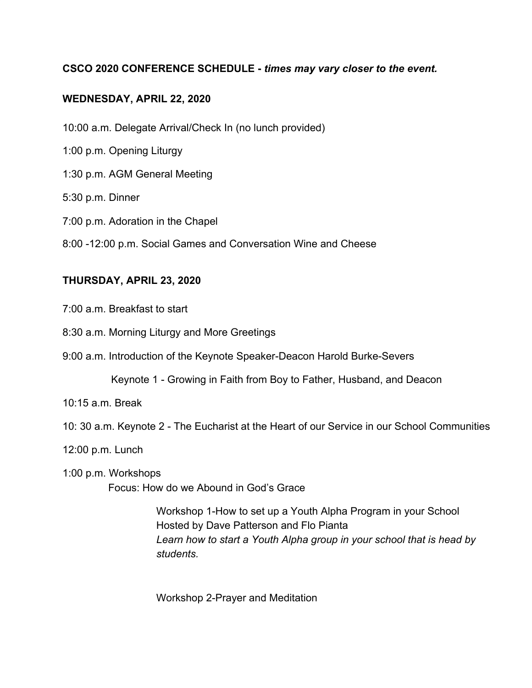## **CSCO 2020 CONFERENCE SCHEDULE -** *times may vary closer to the event.*

## **WEDNESDAY, APRIL 22, 2020**

10:00 a.m. Delegate Arrival/Check In (no lunch provided)

- 1:00 p.m. Opening Liturgy
- 1:30 p.m. AGM General Meeting
- 5:30 p.m. Dinner
- 7:00 p.m. Adoration in the Chapel
- 8:00 -12:00 p.m. Social Games and Conversation Wine and Cheese

## **THURSDAY, APRIL 23, 2020**

- 7:00 a.m. Breakfast to start
- 8:30 a.m. Morning Liturgy and More Greetings
- 9:00 a.m. Introduction of the Keynote Speaker-Deacon Harold Burke-Severs
	- Keynote 1 Growing in Faith from Boy to Father, Husband, and Deacon
- 10:15 a.m. Break
- 10: 30 a.m. Keynote 2 The Eucharist at the Heart of our Service in our School Communities
- 12:00 p.m. Lunch
- 1:00 p.m. Workshops Focus: How do we Abound in God's Grace

Workshop 1-How to set up a Youth Alpha Program in your School Hosted by Dave Patterson and Flo Pianta *Learn how to start a Youth Alpha group in your school that is head by students.*

Workshop 2-Prayer and Meditation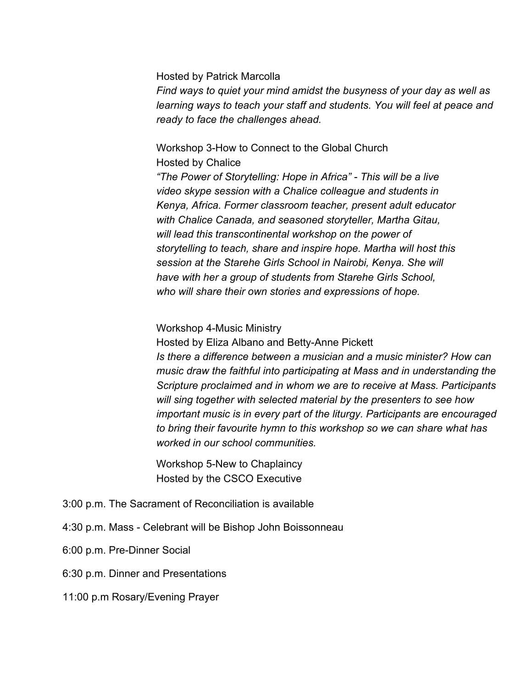#### Hosted by Patrick Marcolla

*Find ways to quiet your mind amidst the busyness of your day as well as learning ways to teach your staff and students. You will feel at peace and ready to face the challenges ahead.*

# Workshop 3-How to Connect to the Global Church Hosted by Chalice

*"The Power of Storytelling: Hope in Africa" - This will be a live video skype session with a Chalice colleague and students in Kenya, Africa. Former classroom teacher, present adult educator with Chalice Canada, and seasoned storyteller, Martha Gitau, will lead this transcontinental workshop on the power of storytelling to teach, share and inspire hope. Martha will host this session at the Starehe Girls School in Nairobi, Kenya. She will have with her a group of students from Starehe Girls School, who will share their own stories and expressions of hope.*

#### Workshop 4-Music Ministry

Hosted by Eliza Albano and Betty-Anne Pickett *Is there a difference between a musician and a music minister? How can music draw the faithful into participating at Mass and in understanding the Scripture proclaimed and in whom we are to receive at Mass. Participants will sing together with selected material by the presenters to see how important music is in every part of the liturgy. Participants are encouraged to bring their favourite hymn to this workshop so we can share what has worked in our school communities.*

Workshop 5-New to Chaplaincy Hosted by the CSCO Executive

- 3:00 p.m. The Sacrament of Reconciliation is available
- 4:30 p.m. Mass Celebrant will be Bishop John Boissonneau
- 6:00 p.m. Pre-Dinner Social
- 6:30 p.m. Dinner and Presentations
- 11:00 p.m Rosary/Evening Prayer